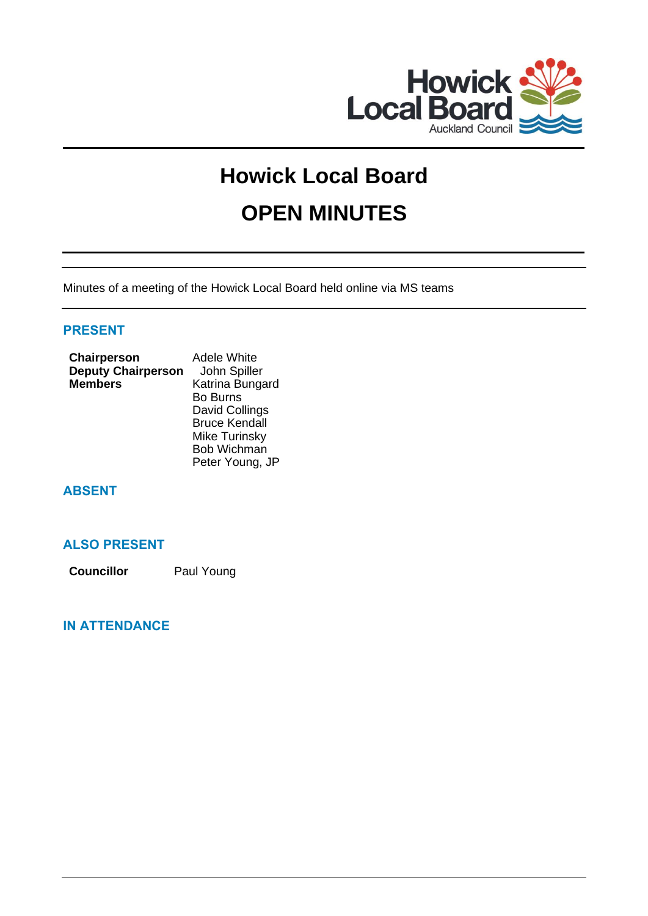

# **Howick Local Board OPEN MINUTES**

Minutes of a meeting of the Howick Local Board held online via MS teams

### **PRESENT**

| Chairperson               | <b>Adele White</b>   |
|---------------------------|----------------------|
| <b>Deputy Chairperson</b> | John Spiller         |
| <b>Members</b>            | Katrina Bungard      |
|                           | <b>Bo Burns</b>      |
|                           | David Collings       |
|                           | <b>Bruce Kendall</b> |
|                           | <b>Mike Turinsky</b> |
|                           | Bob Wichman          |
|                           | Peter Young, JP      |

## **ABSENT**

## **ALSO PRESENT**

**Councillor** Paul Young

## **IN ATTENDANCE**